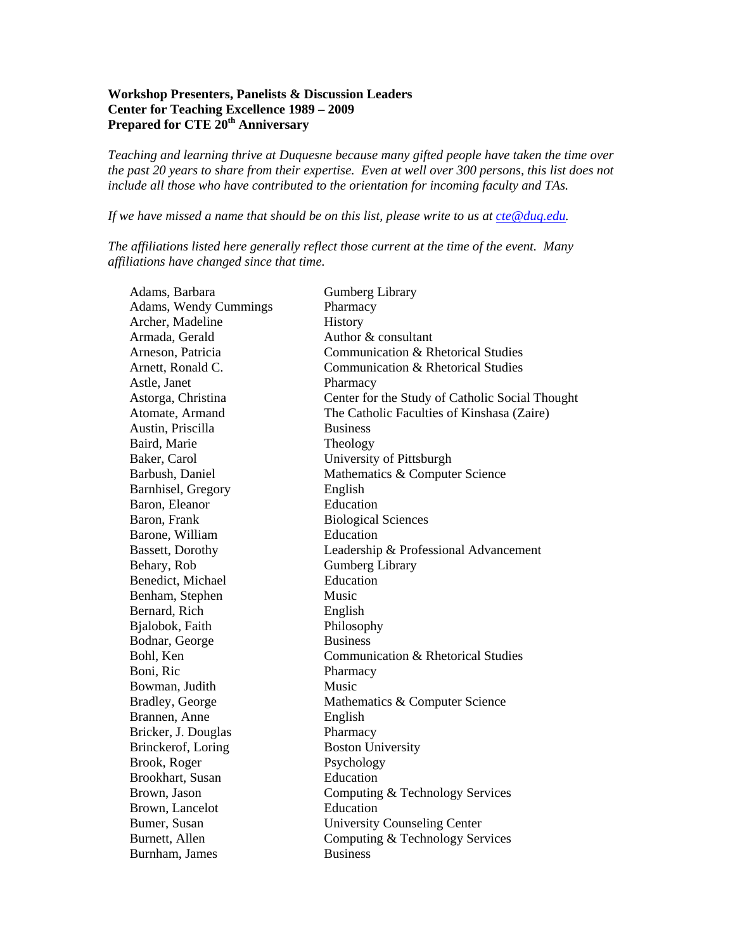## **Workshop Presenters, Panelists & Discussion Leaders Center for Teaching Excellence 1989 – 2009**  Prepared for CTE 20<sup>th</sup> Anniversary

*Teaching and learning thrive at Duquesne because many gifted people have taken the time over the past 20 years to share from their expertise. Even at well over 300 persons, this list does not include all those who have contributed to the orientation for incoming faculty and TAs.* 

*If we have missed a name that should be on this list, please write to us at [cte@duq.edu](mailto:cte@duq.edu).* 

*The affiliations listed here generally reflect those current at the time of the event. Many affiliations have changed since that time.* 

| Adams, Barbara           | <b>Gumberg Library</b>                          |
|--------------------------|-------------------------------------------------|
| Adams, Wendy Cummings    | Pharmacy                                        |
| Archer, Madeline         | History                                         |
| Armada, Gerald           | Author & consultant                             |
| Arneson, Patricia        | Communication & Rhetorical Studies              |
| Arnett, Ronald C.        | Communication & Rhetorical Studies              |
| Astle, Janet             | Pharmacy                                        |
| Astorga, Christina       | Center for the Study of Catholic Social Thought |
| Atomate, Armand          | The Catholic Faculties of Kinshasa (Zaire)      |
| Austin, Priscilla        | <b>Business</b>                                 |
| Baird, Marie             | Theology                                        |
| Baker, Carol             | University of Pittsburgh                        |
| Barbush, Daniel          | Mathematics & Computer Science                  |
| Barnhisel, Gregory       | English                                         |
| Baron, Eleanor           | Education                                       |
| Baron, Frank             | <b>Biological Sciences</b>                      |
| Barone, William          | Education                                       |
| <b>Bassett</b> , Dorothy | Leadership & Professional Advancement           |
| Behary, Rob              | <b>Gumberg Library</b>                          |
| Benedict, Michael        | Education                                       |
| Benham, Stephen          | Music                                           |
| Bernard, Rich            | English                                         |
| Bjalobok, Faith          | Philosophy                                      |
| Bodnar, George           | <b>Business</b>                                 |
| Bohl, Ken                | Communication & Rhetorical Studies              |
| Boni, Ric                | Pharmacy                                        |
| Bowman, Judith           | Music                                           |
| Bradley, George          | Mathematics & Computer Science                  |
| Brannen, Anne            | English                                         |
| Bricker, J. Douglas      | Pharmacy                                        |
| Brinckerof, Loring       | <b>Boston University</b>                        |
| Brook, Roger             | Psychology                                      |
| Brookhart, Susan         | Education                                       |
| Brown, Jason             | Computing & Technology Services                 |
| Brown, Lancelot          | Education                                       |
| Bumer, Susan             | <b>University Counseling Center</b>             |
| Burnett, Allen           | Computing & Technology Services                 |
| Burnham, James           | <b>Business</b>                                 |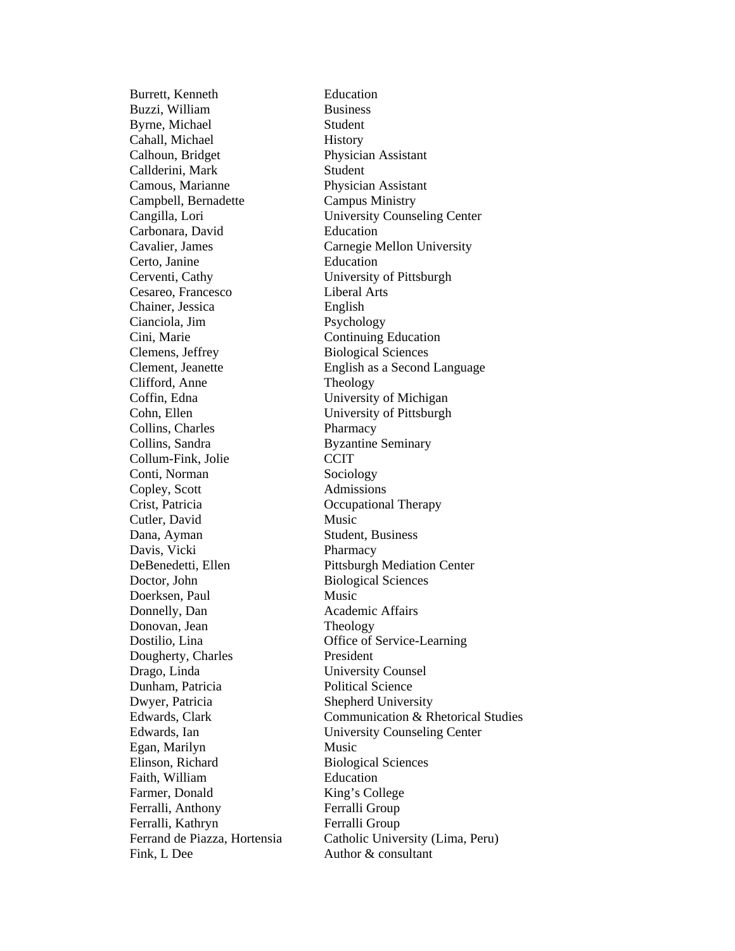Burrett, Kenneth Education Buzzi, William Business Byrne, Michael Student Cahall, Michael History Calhoun, Bridget Physician Assistant Callderini, Mark Student Camous, Marianne Physician Assistant Campbell, Bernadette Campus Ministry Carbonara, David Education Certo, Janine Education Cerventi, Cathy University of Pittsburgh Cesareo, Francesco Liberal Arts Chainer, Jessica English Cianciola, Jim Psychology Cini, Marie Continuing Education Clemens, Jeffrey Biological Sciences Clifford, Anne Theology Coffin, Edna University of Michigan Cohn, Ellen University of Pittsburgh Collins, Charles Pharmacy Collins, Sandra Byzantine Seminary Collum-Fink, Jolie CCIT Conti, Norman Sociology Copley, Scott Admissions Crist, Patricia Occupational Therapy Cutler, David Music Dana, Ayman Student, Business Davis, Vicki Pharmacy Doctor, John Biological Sciences Doerksen, Paul Music Donnelly, Dan Academic Affairs Donovan, Jean Theology Dougherty, Charles President Drago, Linda University Counsel Dunham, Patricia Political Science Dwyer, Patricia Shepherd University Egan, Marilyn Music Elinson, Richard Biological Sciences Faith, William Education Farmer, Donald King's College Ferralli, Anthony Ferralli Group Ferralli, Kathryn Ferralli Group Fink, L Dee Author & consultant

Cangilla, Lori University Counseling Center Cavalier, James Carnegie Mellon University Clement, Jeanette English as a Second Language DeBenedetti, Ellen Pittsburgh Mediation Center Dostilio, Lina Office of Service-Learning Edwards, Clark Communication & Rhetorical Studies Edwards, Ian University Counseling Center Ferrand de Piazza, Hortensia Catholic University (Lima, Peru)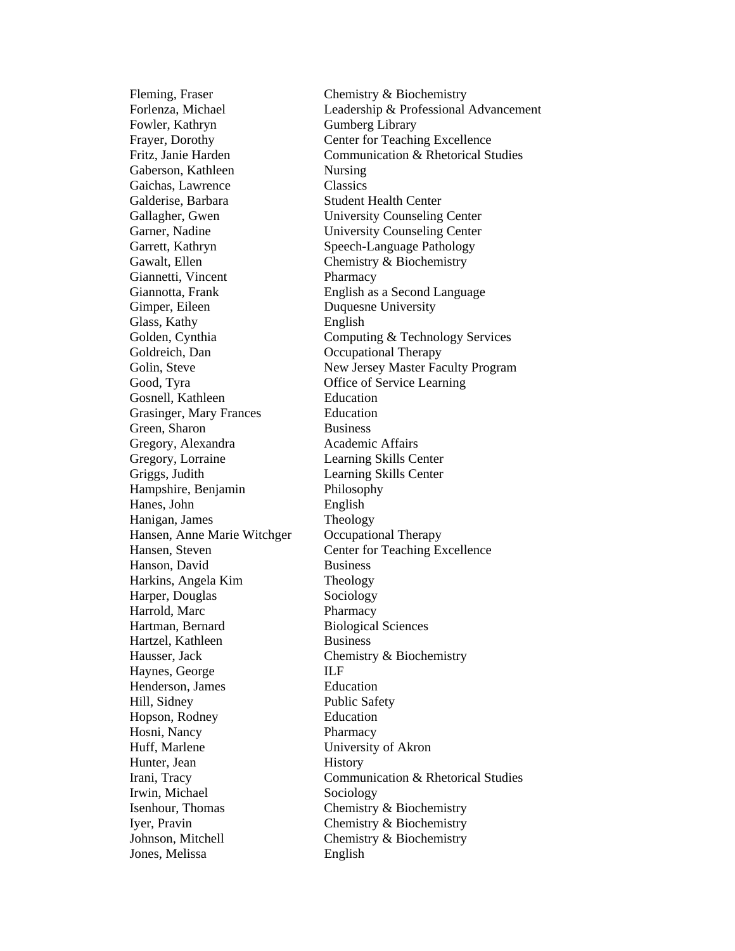Fowler, Kathryn Gumberg Library Gaberson, Kathleen Nursing Gaichas, Lawrence Classics Galderise, Barbara Student Health Center Gawalt, Ellen Chemistry & Biochemistry Giannetti, Vincent Pharmacy Gimper, Eileen Duquesne University Glass, Kathy English Goldreich, Dan Occupational Therapy Good, Tyra **Office of Service Learning** Gosnell, Kathleen Education Grasinger, Mary Frances Education Green, Sharon Business Gregory, Alexandra Academic Affairs Gregory, Lorraine Learning Skills Center Griggs, Judith Learning Skills Center Hampshire, Benjamin Philosophy Hanes, John English Hanigan, James Theology Hansen, Anne Marie Witchger Occupational Therapy Hanson, David Business Harkins, Angela Kim Theology Harper, Douglas Sociology Harrold, Marc Pharmacy Hartman, Bernard Biological Sciences Hartzel, Kathleen Business Hausser, Jack Chemistry & Biochemistry Haynes, George **ILF** Henderson, James Education Hill, Sidney Public Safety Hopson, Rodney Education Hosni, Nancy Pharmacy Huff, Marlene University of Akron Hunter, Jean History Irwin, Michael Sociology Isenhour, Thomas Chemistry & Biochemistry Iyer, Pravin Chemistry & Biochemistry Johnson, Mitchell Chemistry & Biochemistry Jones, Melissa English

Fleming, Fraser Chemistry & Biochemistry Forlenza, Michael Leadership & Professional Advancement Frayer, Dorothy Center for Teaching Excellence Fritz, Janie Harden Communication & Rhetorical Studies Gallagher, Gwen University Counseling Center Garner, Nadine University Counseling Center Garrett, Kathryn Speech-Language Pathology Giannotta, Frank English as a Second Language Golden, Cynthia Computing & Technology Services Golin, Steve New Jersey Master Faculty Program Hansen, Steven Center for Teaching Excellence Irani, Tracy Communication & Rhetorical Studies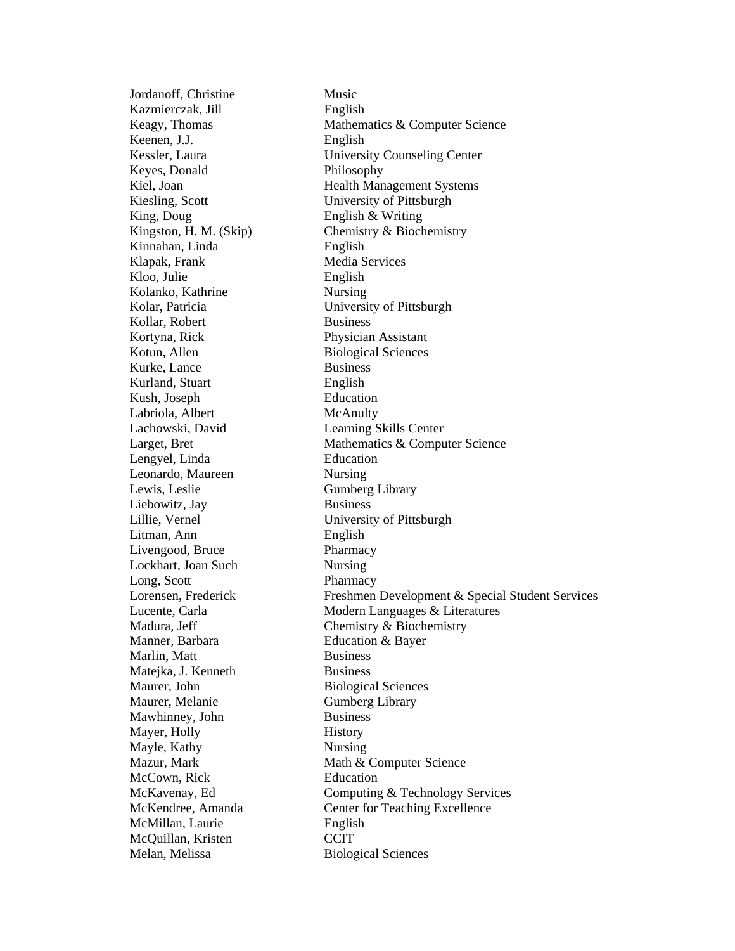Jordanoff, Christine Music Kazmierczak, Jill English Keenen, J.J. English Keyes, Donald Philosophy King, Doug English & Writing Kinnahan, Linda English Klapak, Frank Media Services Kloo, Julie English Kolanko, Kathrine Nursing Kollar, Robert Business Kortyna, Rick Physician Assistant Kotun, Allen Biological Sciences Kurke, Lance Business Kurland, Stuart English Kush, Joseph Education Labriola, Albert McAnulty Lachowski, David Learning Skills Center Lengyel, Linda Education Leonardo, Maureen Nursing Lewis, Leslie Gumberg Library Liebowitz, Jay Business Litman, Ann English Livengood, Bruce Pharmacy Lockhart, Joan Such Nursing Long, Scott Pharmacy Manner, Barbara **Education & Bayer** Marlin, Matt Business Matejka, J. Kenneth Business Maurer, John Biological Sciences Maurer, Melanie Gumberg Library Mawhinney, John Business Mayer, Holly **History** Mayle, Kathy Nursing McCown, Rick Education McMillan, Laurie English McQuillan, Kristen CCIT Melan, Melissa Biological Sciences

Keagy, Thomas Mathematics & Computer Science Kessler, Laura University Counseling Center Kiel, Joan Health Management Systems Kiesling, Scott University of Pittsburgh Kingston, H. M. (Skip) Chemistry & Biochemistry Kolar, Patricia University of Pittsburgh Larget, Bret Mathematics & Computer Science Lillie, Vernel University of Pittsburgh Lorensen, Frederick Freshmen Development & Special Student Services Lucente, Carla Modern Languages & Literatures Madura, Jeff Chemistry & Biochemistry Mazur, Mark Math & Computer Science McKavenay, Ed Computing & Technology Services McKendree, Amanda Center for Teaching Excellence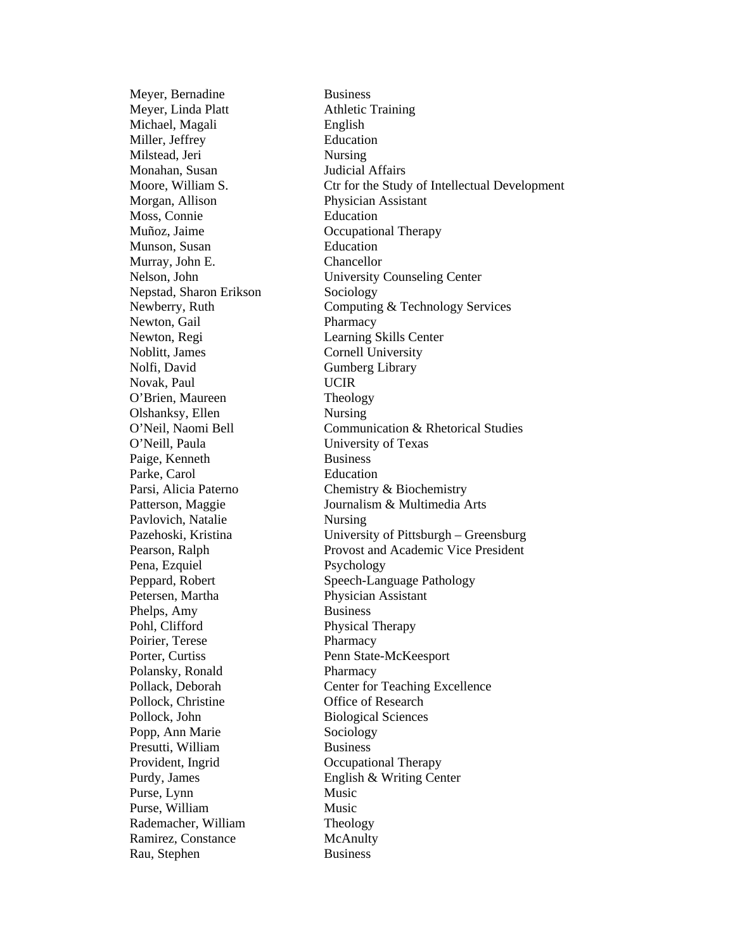Meyer, Bernadine Business Meyer, Linda Platt Athletic Training Michael, Magali English Miller, Jeffrey Education Milstead, Jeri Nursing Monahan, Susan Judicial Affairs Morgan, Allison Physician Assistant Moss, Connie Education Muñoz, Jaime Occupational Therapy Munson, Susan Education Murray, John E. Chancellor Nepstad, Sharon Erikson Sociology Newton, Gail Pharmacy Newton, Regi Learning Skills Center Noblitt, James Cornell University Nolfi, David Gumberg Library Novak, Paul UCIR O'Brien, Maureen Theology Olshanksy, Ellen Nursing O'Neill, Paula University of Texas Paige, Kenneth Business Parke, Carol **Education** Pavlovich, Natalie Nursing Pena, Ezquiel Psychology Phelps, Amy Business Pohl, Clifford Physical Therapy Poirier, Terese Pharmacy Porter, Curtiss Penn State-McKeesport Polansky, Ronald Pharmacy Pollock, Christine **Office** of Research Pollock, John Biological Sciences Popp, Ann Marie Sociology Presutti, William Business Provident, Ingrid Cocupational Therapy Purse, Lynn Music Purse, William Music Rademacher, William Theology Ramirez, Constance McAnulty Rau, Stephen Business

Moore, William S. Ctr for the Study of Intellectual Development Nelson, John University Counseling Center Newberry, Ruth Computing & Technology Services O'Neil, Naomi Bell Communication & Rhetorical Studies Parsi, Alicia Paterno Chemistry & Biochemistry Patterson, Maggie Journalism & Multimedia Arts Pazehoski, Kristina University of Pittsburgh – Greensburg Pearson, Ralph Provost and Academic Vice President Peppard, Robert Speech-Language Pathology<br>
Petersen, Martha Speech-Language Pathology<br>
Physician Assistant Physician Assistant Pollack, Deborah Center for Teaching Excellence Purdy, James English & Writing Center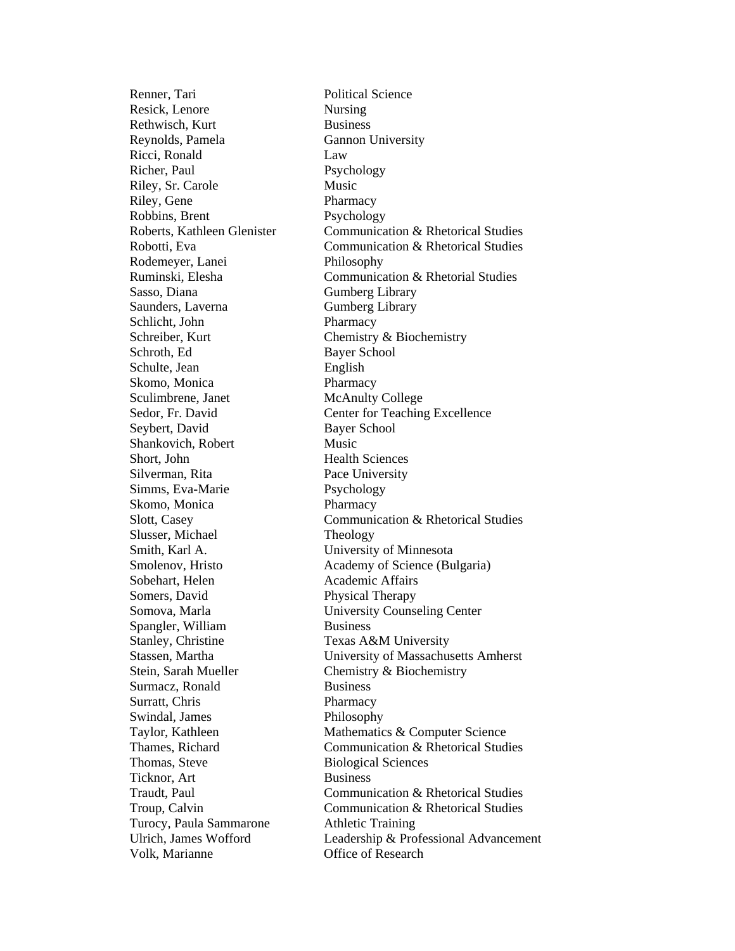Renner, Tari Political Science Resick, Lenore Nursing Rethwisch, Kurt Business Reynolds, Pamela Gannon University Ricci, Ronald Law Richer, Paul Psychology Riley, Sr. Carole Music Riley, Gene Pharmacy Robbins, Brent Psychology Rodemeyer, Lanei Philosophy Sasso, Diana Gumberg Library Saunders, Laverna Gumberg Library Schlicht, John Pharmacy Schreiber, Kurt Chemistry & Biochemistry Schroth, Ed Bayer School Schulte, Jean English Skomo, Monica Pharmacy Sculimbrene, Janet McAnulty College Seybert, David Bayer School Shankovich, Robert Music Short, John Health Sciences Silverman, Rita Pace University Simms, Eva-Marie Psychology Skomo, Monica Pharmacy Slusser, Michael Theology Smith, Karl A. University of Minnesota Sobehart, Helen Academic Affairs Somers, David Physical Therapy Spangler, William Business Stanley, Christine Texas A&M University Stein, Sarah Mueller Chemistry & Biochemistry Surmacz, Ronald Business Surratt, Chris Pharmacy Swindal, James Philosophy Thomas, Steve Biological Sciences Ticknor, Art Business Turocy, Paula Sammarone Athletic Training Volk, Marianne Office of Research

Roberts, Kathleen Glenister Communication & Rhetorical Studies Robotti, Eva Communication & Rhetorical Studies Ruminski, Elesha Communication & Rhetorial Studies Sedor, Fr. David Center for Teaching Excellence Slott, Casey Communication & Rhetorical Studies Smolenov, Hristo Academy of Science (Bulgaria) Somova, Marla University Counseling Center Stassen, Martha University of Massachusetts Amherst Taylor, Kathleen Mathematics & Computer Science Thames, Richard Communication & Rhetorical Studies Traudt, Paul Communication & Rhetorical Studies Troup, Calvin Communication & Rhetorical Studies Ulrich, James Wofford Leadership & Professional Advancement